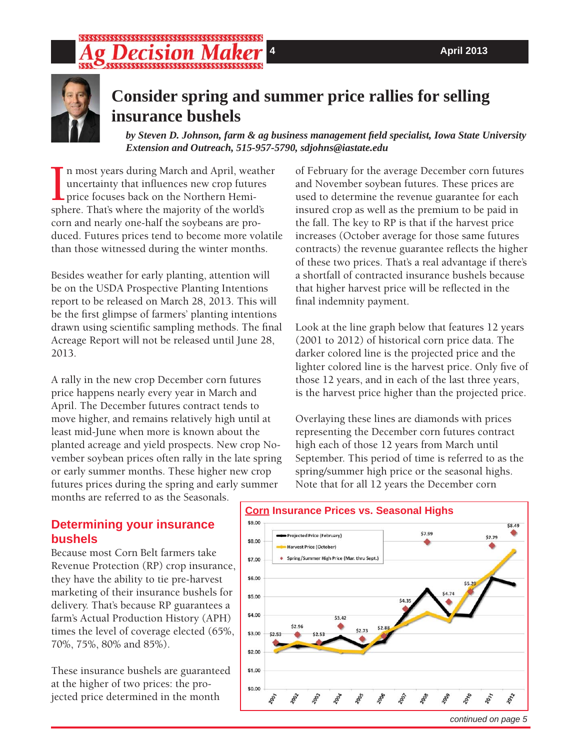# *ecision* N



# **Consider spring and summer price rallies for selling insurance bushels**

*by Steven D. Johnson, farm & ag business management fi eld specialist, Iowa State University Extension and Outreach, 515-957-5790, sdjohns@iastate.edu*

In most years during March and April, weath<br>uncertainty that influences new crop futures<br>price focuses back on the Northern Hemi-<br>sphere. That's where the majority of the world's n most years during March and April, weather uncertainty that influences new crop futures price focuses back on the Northern Hemicorn and nearly one-half the soybeans are produced. Futures prices tend to become more volatile than those witnessed during the winter months.

Besides weather for early planting, attention will be on the USDA Prospective Planting Intentions report to be released on March 28, 2013. This will be the first glimpse of farmers' planting intentions drawn using scientific sampling methods. The final Acreage Report will not be released until June 28, 2013.

A rally in the new crop December corn futures price happens nearly every year in March and April. The December futures contract tends to move higher, and remains relatively high until at least mid-June when more is known about the planted acreage and yield prospects. New crop November soybean prices often rally in the late spring or early summer months. These higher new crop futures prices during the spring and early summer months are referred to as the Seasonals.

of February for the average December corn futures and November soybean futures. These prices are used to determine the revenue guarantee for each insured crop as well as the premium to be paid in the fall. The key to RP is that if the harvest price increases (October average for those same futures contracts) the revenue guarantee reflects the higher of these two prices. That's a real advantage if there's a shortfall of contracted insurance bushels because that higher harvest price will be reflected in the final indemnity payment.

Look at the line graph below that features 12 years (2001 to 2012) of historical corn price data. The darker colored line is the projected price and the lighter colored line is the harvest price. Only five of those 12 years, and in each of the last three years, is the harvest price higher than the projected price.

Overlaying these lines are diamonds with prices representing the December corn futures contract high each of those 12 years from March until September. This period of time is referred to as the spring/summer high price or the seasonal highs. Note that for all 12 years the December corn

# **Determining your insurance bushels**

Because most Corn Belt farmers take Revenue Protection (RP) crop insurance, they have the ability to tie pre-harvest marketing of their insurance bushels for delivery. That's because RP guarantees a farm's Actual Production History (APH) times the level of coverage elected (65%, 70%, 75%, 80% and 85%).

These insurance bushels are guaranteed at the higher of two prices: the projected price determined in the month

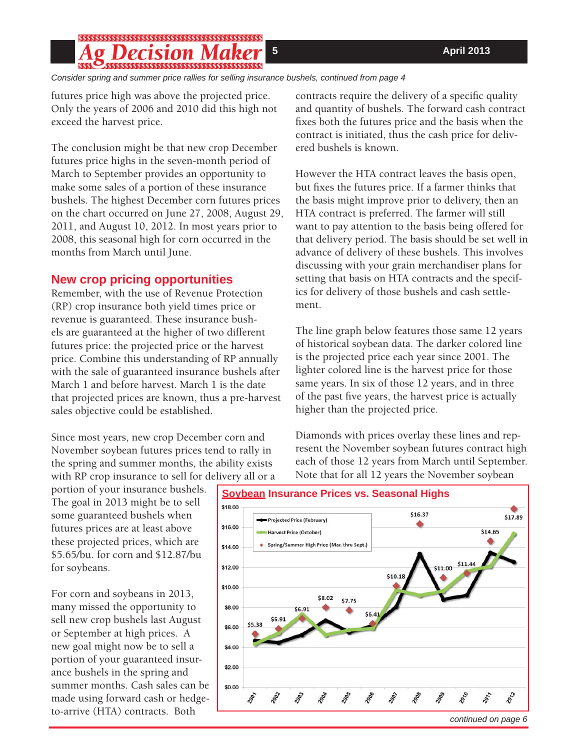### ision

*Consider spring and summer price rallies for selling insurance bushels, continued from page 4*

futures price high was above the projected price. Only the years of 2006 and 2010 did this high not exceed the harvest price.

The conclusion might be that new crop December futures price highs in the seven-month period of March to September provides an opportunity to make some sales of a portion of these insurance bushels. The highest December corn futures prices on the chart occurred on June 27, 2008, August 29, 2011, and August 10, 2012. In most years prior to 2008, this seasonal high for corn occurred in the months from March until June.

### **New crop pricing opportunities**

Remember, with the use of Revenue Protection (RP) crop insurance both yield times price or revenue is guaranteed. These insurance bushels are guaranteed at the higher of two different futures price: the projected price or the harvest price. Combine this understanding of RP annually with the sale of guaranteed insurance bushels after March 1 and before harvest. March 1 is the date that projected prices are known, thus a pre-harvest sales objective could be established.

Since most years, new crop December corn and November soybean futures prices tend to rally in the spring and summer months, the ability exists with RP crop insurance to sell for delivery all or a

portion of your insurance bushels. The goal in 2013 might be to sell some guaranteed bushels when futures prices are at least above these projected prices, which are \$5.65/bu. for corn and \$12.87/bu for soybeans.

For corn and soybeans in 2013, many missed the opportunity to sell new crop bushels last August or September at high prices. A new goal might now be to sell a portion of your guaranteed insurance bushels in the spring and summer months. Cash sales can be made using forward cash or hedgeto-arrive (HTA) contracts. Both

contracts require the delivery of a specific quality and quantity of bushels. The forward cash contract fixes both the futures price and the basis when the contract is initiated, thus the cash price for delivered bushels is known.

However the HTA contract leaves the basis open, but fixes the futures price. If a farmer thinks that the basis might improve prior to delivery, then an HTA contract is preferred. The farmer will still want to pay attention to the basis being offered for that delivery period. The basis should be set well in advance of delivery of these bushels. This involves discussing with your grain merchandiser plans for setting that basis on HTA contracts and the specifics for delivery of those bushels and cash settlement.

The line graph below features those same 12 years of historical soybean data. The darker colored line is the projected price each year since 2001. The lighter colored line is the harvest price for those same years. In six of those 12 years, and in three of the past five years, the harvest price is actually higher than the projected price.

Diamonds with prices overlay these lines and represent the November soybean futures contract high each of those 12 years from March until September. Note that for all 12 years the November soybean



# **Soybean Insurance Prices vs. Seasonal Highs**